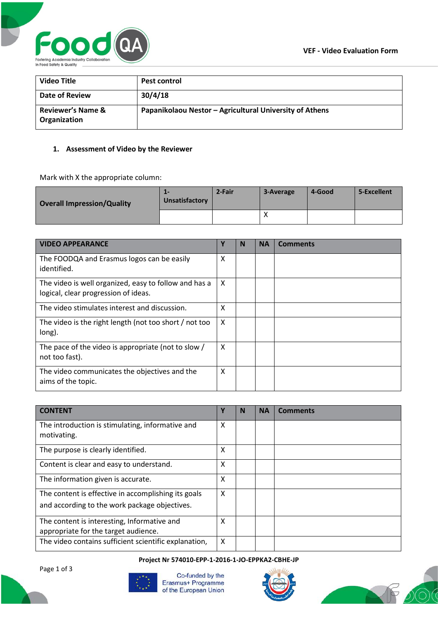

| <b>Video Title</b>                           | <b>Pest control</b>                                     |
|----------------------------------------------|---------------------------------------------------------|
| Date of Review                               | 30/4/18                                                 |
| <b>Reviewer's Name &amp;</b><br>Organization | Papanikolaou Nestor - Agricultural University of Athens |

## **1. Assessment of Video by the Reviewer**

Mark with X the appropriate column:

| <b>Overall Impression/Quality</b> | $\mathbf{L}$<br>Unsatisfactory | 2-Fair | 3-Average | 4-Good | 5-Excellent |
|-----------------------------------|--------------------------------|--------|-----------|--------|-------------|
|                                   |                                |        |           |        |             |

| <b>VIDEO APPEARANCE</b>                                                                       | Υ | N | <b>NA</b> | <b>Comments</b> |
|-----------------------------------------------------------------------------------------------|---|---|-----------|-----------------|
| The FOODQA and Erasmus logos can be easily<br>identified.                                     | X |   |           |                 |
| The video is well organized, easy to follow and has a<br>logical, clear progression of ideas. | X |   |           |                 |
| The video stimulates interest and discussion.                                                 | X |   |           |                 |
| The video is the right length (not too short / not too<br>long).                              | X |   |           |                 |
| The pace of the video is appropriate (not to slow /<br>not too fast).                         | X |   |           |                 |
| The video communicates the objectives and the<br>aims of the topic.                           | X |   |           |                 |

| <b>CONTENT</b>                                                                                       | Υ | N | <b>NA</b> | <b>Comments</b> |
|------------------------------------------------------------------------------------------------------|---|---|-----------|-----------------|
| The introduction is stimulating, informative and<br>motivating.                                      | X |   |           |                 |
| The purpose is clearly identified.                                                                   | X |   |           |                 |
| Content is clear and easy to understand.                                                             | X |   |           |                 |
| The information given is accurate.                                                                   | X |   |           |                 |
| The content is effective in accomplishing its goals<br>and according to the work package objectives. | X |   |           |                 |
| The content is interesting, Informative and<br>appropriate for the target audience.                  | x |   |           |                 |
| The video contains sufficient scientific explanation,                                                | X |   |           |                 |

## **Project Nr 574010-EPP-1-2016-1-JO-EPPKA2-CBHE-JP**

Page 1 of 3



Co-funded by the Erasmus+ Programme of the European Union



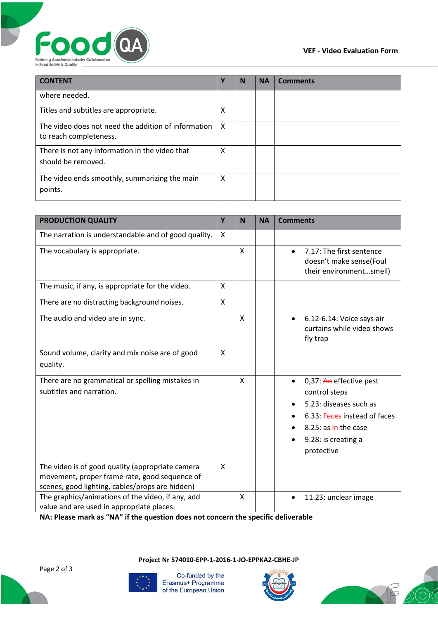



| <b>CONTENT</b>                                                                | Υ | N | <b>NA</b> | <b>Comments</b> |
|-------------------------------------------------------------------------------|---|---|-----------|-----------------|
| where needed.                                                                 |   |   |           |                 |
| Titles and subtitles are appropriate.                                         | X |   |           |                 |
| The video does not need the addition of information<br>to reach completeness. | X |   |           |                 |
| There is not any information in the video that<br>should be removed.          | x |   |           |                 |
| The video ends smoothly, summarizing the main<br>points.                      | x |   |           |                 |

| <b>PRODUCTION QUALITY</b>                                                                                                                            | Y | N            | <b>NA</b> | <b>Comments</b>                                                                                                                                                              |
|------------------------------------------------------------------------------------------------------------------------------------------------------|---|--------------|-----------|------------------------------------------------------------------------------------------------------------------------------------------------------------------------------|
| The narration is understandable and of good quality.                                                                                                 | X |              |           |                                                                                                                                                                              |
| The vocabulary is appropriate.                                                                                                                       |   | $\mathsf{x}$ |           | 7.17: The first sentence<br>$\bullet$<br>doesn't make sense(Foul<br>their environmentsmell)                                                                                  |
| The music, if any, is appropriate for the video.                                                                                                     | X |              |           |                                                                                                                                                                              |
| There are no distracting background noises.                                                                                                          | X |              |           |                                                                                                                                                                              |
| The audio and video are in sync.                                                                                                                     |   | X            |           | 6.12-6.14: Voice says air<br>$\bullet$<br>curtains while video shows<br>fly trap                                                                                             |
| Sound volume, clarity and mix noise are of good<br>quality.                                                                                          | X |              |           |                                                                                                                                                                              |
| There are no grammatical or spelling mistakes in<br>subtitles and narration.                                                                         |   | X            |           | 0,37: An effective pest<br>$\bullet$<br>control steps<br>5.23: diseases such as<br>6.33: Feces instead of faces<br>8.25: as in the case<br>9.28: is creating a<br>protective |
| The video is of good quality (appropriate camera<br>movement, proper frame rate, good sequence of<br>scenes, good lighting, cables/props are hidden) | X |              |           |                                                                                                                                                                              |
| The graphics/animations of the video, if any, add<br>value and are used in appropriate places.                                                       |   | X            |           | 11.23: unclear image<br>$\bullet$                                                                                                                                            |

**NA: Please mark as "NA" if the question does not concern the specific deliverable**

Co-funded by the Erasmus+ Programme of the European Union

**Project Nr 574010-EPP-1-2016-1-JO-EPPKA2-CBHE-JP**